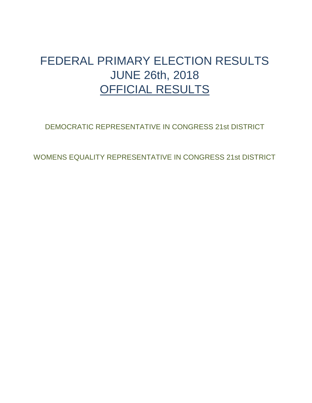## <span id="page-0-0"></span>FEDERAL PRIMARY ELECTION RESULTS JUNE 26th, 2018 OFFICIAL RESULTS

[DEMOCRATIC REPRESENTATIVE IN CONGRESS 21st DISTRICT](#page-1-0)

[WOMENS EQUALITY REPRESENTATIVE IN CONGRESS 21st DISTRICT](#page-2-0)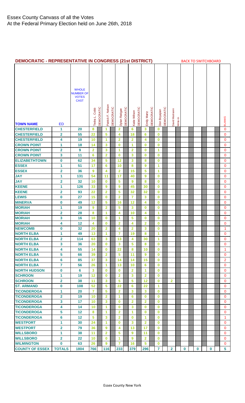<span id="page-1-0"></span>

| <b>DEMOCRATIC - REPRESENTATIVE IN CONGRESS (21st DISTRICT)</b> |                         |                                  |                         |            |                   |            |                         |            |                         |            |                |            |                      | <b>BACK TO SWITCHBOARD</b> |                         |          |          |  |          |  |   |  |                     |
|----------------------------------------------------------------|-------------------------|----------------------------------|-------------------------|------------|-------------------|------------|-------------------------|------------|-------------------------|------------|----------------|------------|----------------------|----------------------------|-------------------------|----------|----------|--|----------|--|---|--|---------------------|
|                                                                |                         |                                  |                         |            |                   |            |                         |            |                         |            |                |            |                      |                            |                         |          |          |  |          |  |   |  |                     |
|                                                                |                         |                                  |                         |            |                   |            |                         |            |                         |            |                |            |                      |                            |                         |          |          |  |          |  |   |  |                     |
|                                                                |                         | <b>WHOLE</b>                     |                         |            |                   |            |                         |            |                         |            |                |            |                      |                            |                         |          |          |  |          |  |   |  |                     |
|                                                                |                         | <b>NUMBER OF</b><br><b>VOTES</b> |                         |            |                   |            |                         |            |                         |            |                |            |                      |                            |                         |          |          |  |          |  |   |  |                     |
|                                                                |                         | <b>CAST</b>                      |                         |            |                   |            |                         |            |                         |            |                |            |                      |                            |                         |          |          |  |          |  |   |  |                     |
|                                                                |                         |                                  |                         |            |                   |            |                         |            |                         |            |                |            |                      |                            |                         |          |          |  |          |  |   |  |                     |
|                                                                |                         |                                  | Cobb                    | DEMOCRATIC | Patrick F. Nelson | DEMOCRATIC | Dylan Ratigan           | DEMOCRATIC |                         | DEMOCRATIC |                | DEMOCRATIC | Don Boyajian         | DEMOCRATIC                 | David Matrianni         |          |          |  |          |  |   |  |                     |
|                                                                |                         |                                  | Tedra L.                |            |                   |            |                         |            | Katie Wilson            |            | Emily Martz    |            |                      |                            |                         |          |          |  |          |  |   |  |                     |
| <b>TOWN NAME</b>                                               | <b>ED</b>               |                                  |                         |            |                   |            |                         |            |                         |            |                |            |                      |                            |                         | Write-In |          |  |          |  |   |  | <b>BLANKS</b>       |
| <b>CHESTERFIELD</b>                                            | 1                       | 20                               | 8                       |            | 1                 |            | $\overline{2}$          |            | 6                       |            | 3              |            | 0                    |                            |                         |          |          |  |          |  |   |  | $\mathbf 0$         |
| <b>CHESTERFIELD</b>                                            | 2                       | 55                               | 22                      |            | 5                 |            | 4                       |            | 18                      |            | 6              |            | $\bf{0}$             |                            |                         |          |          |  |          |  |   |  | 0                   |
| <b>CHESTERFIELD</b>                                            | 4                       | 19                               | 10                      |            | 1                 |            | $\overline{\mathbf{2}}$ |            | $\overline{\mathbf{2}}$ |            | 4              |            | $\bf{0}$             |                            |                         |          |          |  |          |  |   |  | 0                   |
| <b>CROWN POINT</b>                                             | 1                       | 18                               | 14                      |            | 3                 |            | $\bf{0}$                |            | 1                       |            | 0              |            | $\bf{0}$             |                            |                         |          |          |  |          |  |   |  | 0                   |
| <b>CROWN POINT</b>                                             | $\overline{\mathbf{2}}$ | 9                                | $\overline{2}$          |            | 3                 |            | 1                       |            | $\overline{2}$          |            | $\bf{0}$       |            | 1                    |                            |                         |          |          |  |          |  |   |  | 0                   |
| <b>CROWN POINT</b>                                             | 3                       | 11                               | 6                       |            | $\overline{2}$    |            | $\bf{0}$                |            | 3                       |            | $\bf{0}$       |            | $\bf{0}$             |                            |                         |          |          |  |          |  |   |  | $\mathbf 0$         |
| <b>ELIZABETHTOWN</b>                                           | $\pmb{0}$               | 62                               | 34                      |            | 5                 |            | 12                      |            | 3                       |            | 8              |            | $\bf{0}$             |                            |                         |          |          |  |          |  |   |  | $\mathbf 0$         |
| <b>ESSEX</b>                                                   | 1                       | 51                               | 17                      |            | 6                 |            | 10                      |            | 8                       |            | 9              |            | 1                    |                            |                         |          |          |  |          |  |   |  | $\mathbf 0$         |
| <b>ESSEX</b>                                                   | $\overline{\mathbf{2}}$ | 36                               | 9                       |            | 4                 |            | $\overline{\mathbf{2}}$ |            | 15                      |            | 5              |            | 1                    |                            |                         |          |          |  |          |  |   |  | 0                   |
| <b>JAY</b>                                                     | 1                       | 131                              | 54                      |            | 11                |            | 17                      |            | 40                      |            | 9              |            | $\bf{0}$             |                            |                         |          |          |  |          |  |   |  | 0                   |
| <b>JAY</b>                                                     | $\mathbf 2$             | 32                               | 10                      |            | $\bf{0}$          |            | 5                       |            | 9                       |            | 8              |            | $\bf{0}$             |                            |                         |          |          |  |          |  |   |  | 0                   |
| <b>KEENE</b>                                                   | 1                       | 126                              | 33                      |            | 9                 |            | 9                       |            | 45                      |            | 30             |            | $\bf{0}$             |                            |                         |          |          |  |          |  |   |  | $\mathbf{0}$        |
| <b>KEENE</b>                                                   | 2                       | 93                               | 22                      |            | $\overline{2}$    |            | 5                       |            | 32                      |            | 32             |            | $\bf{0}$             |                            |                         |          |          |  |          |  |   |  | 0                   |
| <b>LEWIS</b>                                                   | $\pmb{0}$               | 27                               | 15                      |            | $\bf{0}$          |            | $\overline{\mathbf{2}}$ |            | 7                       |            | 3              |            | 0                    |                            |                         |          |          |  |          |  |   |  | 0                   |
| <b>MINERVA</b>                                                 | $\boldsymbol{0}$        | 49                               | 12                      |            | 5                 |            | 16                      |            | 12                      |            | 4              |            | $\bf{0}$             |                            |                         |          |          |  |          |  |   |  | 0                   |
| <b>MORIAH</b>                                                  | 1                       | 19                               | 9                       |            | $\overline{2}$    |            | 5                       |            | 3                       |            | $\bf{0}$       |            | $\bf{0}$             |                            |                         |          |          |  |          |  |   |  | 0                   |
| <b>MORIAH</b>                                                  | $\overline{\mathbf{2}}$ | 28                               | 8                       |            | 1                 |            | 4                       |            | 10                      |            | 4              |            | 1                    |                            |                         |          |          |  |          |  |   |  | $\mathbf 0$         |
| <b>MORIAH</b>                                                  | 3                       | 16                               | 10                      |            | $\bf{0}$          |            | $\mathbf{1}$            |            | 5                       |            | $\bf{0}$       |            | $\bf{0}$             |                            |                         |          |          |  |          |  |   |  | $\mathbf 0$         |
| <b>MORIAH</b>                                                  | 4                       | 12                               | 4                       |            | $\bf{0}$          |            | $\mathbf{2}$            |            | 4                       |            | $\overline{2}$ |            | $\bf{0}$             |                            |                         |          |          |  |          |  |   |  | 0                   |
| <b>NEWCOMB</b>                                                 | 0                       | 32                               | 20                      |            | $\mathbf{2}$      |            | 4                       |            | $\mathbf{2}$            |            | 3              |            | 0                    |                            |                         |          |          |  |          |  |   |  | 1                   |
| <b>NORTH ELBA</b>                                              | 1                       | 49                               | 13                      |            | 1                 |            | 7                       |            | 19                      |            | 8              |            | 1                    |                            |                         |          |          |  |          |  |   |  | 0                   |
| <b>NORTH ELBA</b>                                              | 2                       | 114                              | 63                      |            | 3                 |            | 13                      |            | 4                       |            | 30             |            | 1                    |                            |                         |          |          |  |          |  |   |  | 0                   |
| <b>NORTH ELBA</b>                                              | 3                       | 36                               | 20                      |            | $\bf{0}$          |            | 3                       |            | 5                       |            | 8              |            | $\bf{0}$             |                            |                         |          |          |  |          |  |   |  | $\Omega$            |
| <b>NORTH ELBA</b><br><b>NORTH ELBA</b>                         | 4                       | 55                               | 14                      |            | $\bf{0}$          |            | 22                      |            | 8                       |            | 10             |            | $\bf{0}$             |                            |                         |          |          |  |          |  |   |  | 1                   |
|                                                                | 5                       | 66                               | 39<br>37                |            | $\overline{2}$    |            | 5<br>14                 |            | 11                      |            | 9<br>15        |            | $\bf{0}$             |                            |                         |          |          |  |          |  |   |  | 0                   |
| <b>NORTH ELBA</b><br><b>NORTH ELBA</b>                         | 6<br>$\overline{7}$     | 85<br>56                         | 26                      |            | 3<br>1            |            | 13                      |            | 14<br>10                |            | 6              |            | $\bf{0}$<br>$\bf{0}$ |                            |                         |          |          |  |          |  |   |  | $\overline{2}$<br>0 |
| <b>NORTH HUDSON</b>                                            | $\mathbf 0$             | 6                                | $\overline{\mathbf{3}}$ |            | $\bf{0}$          |            | $\bf{0}$                |            | $\overline{2}$          |            | 1              |            | $\bf{0}$             |                            |                         |          |          |  |          |  |   |  | 0                   |
| <b>SCHROON</b>                                                 | $\mathbf{1}$            | 19                               | 12                      |            | $\bf{0}$          |            | $\overline{2}$          |            | 3                       |            | $\overline{2}$ |            | $\bf{0}$             |                            |                         |          |          |  |          |  |   |  | 0                   |
| <b>SCHROON</b>                                                 | $\overline{\mathbf{2}}$ | 38                               | 11                      |            | 3                 |            | 5                       |            | 5                       |            | 12             |            | $\bf{0}$             |                            | $\overline{2}$          |          |          |  |          |  |   |  | 0                   |
| <b>ST. ARMAND</b>                                              | $\bf{0}$                | 108                              | 52                      |            | 5                 |            | 22                      |            | 6                       |            | 22             |            | 1                    |                            |                         |          |          |  |          |  |   |  | $\mathbf{0}$        |
| <b>TICONDEROGA</b>                                             | 1                       | 20                               | $\overline{7}$          |            | 5                 |            | $\overline{\mathbf{2}}$ |            | 3                       |            | 3              |            | $\bf{0}$             |                            |                         |          |          |  |          |  |   |  | 0                   |
| <b>TICONDEROGA</b>                                             | $\overline{\mathbf{2}}$ | 19                               | 10                      |            | $\overline{2}$    |            | 1                       |            | 6                       |            | $\bf{0}$       |            | $\bf{0}$             |                            |                         |          |          |  |          |  |   |  | 0                   |
| <b>TICONDEROGA</b>                                             | 3                       | 17                               | 10                      |            | 3                 |            | $\bf{0}$                |            | $\overline{2}$          |            | $\overline{2}$ |            | $\bf{0}$             |                            |                         |          |          |  |          |  |   |  | $\mathbf{0}$        |
| <b>TICONDEROGA</b>                                             | 4                       | 14                               | 10                      |            | 1                 |            | $\bf{0}$                |            | 3                       |            | $\bf{0}$       |            | $\bf{0}$             |                            |                         |          |          |  |          |  |   |  | 0                   |
| <b>TICONDEROGA</b>                                             | 5                       | 12                               | 8                       |            | 1                 |            | $\overline{2}$          |            | 1                       |            | $\bf{0}$       |            | $\bf{0}$             |                            |                         |          |          |  |          |  |   |  | 0                   |
| <b>TICONDEROGA</b>                                             | 6                       | 12                               | 5                       |            | 3                 |            | $\overline{2}$          |            | $\bf{0}$                |            | 1              |            | $\bf{0}$             |                            |                         |          |          |  |          |  |   |  | 1                   |
| <b>WESTPORT</b>                                                | 1                       | 30                               | 24                      |            | 1                 |            | $\bf{0}$                |            | 3                       |            | $\overline{2}$ |            | $\bf{0}$             |                            |                         |          |          |  |          |  |   |  | 0                   |
| <b>WESTPORT</b>                                                | $\overline{\mathbf{2}}$ | 79                               | 36                      |            | 9                 |            | 4                       |            | 13                      |            | 17             |            | $\mathbf 0$          |                            |                         |          |          |  |          |  |   |  | 0                   |
| <b>WILLSBORO</b>                                               | $\mathbf{1}$            | 38                               | 11                      |            | $\overline{2}$    |            | 5                       |            | 9                       |            | 11             |            | $\bf{0}$             |                            |                         |          |          |  |          |  |   |  | 0                   |
| <b>WILLSBORO</b>                                               | $\mathbf{2}$            | 22                               | 10                      |            | $\bf{0}$          |            | 1                       |            | 9                       |            | $\overline{2}$ |            | $\bf{0}$             |                            |                         |          |          |  |          |  |   |  | 0                   |
| <b>WILMINGTON</b>                                              | $\bf{0}$                | 63                               | 26                      |            | 9                 |            | $\overline{7}$          |            | 16                      |            | 5              |            | $\bf{0}$             |                            |                         |          |          |  |          |  |   |  | $\mathbf{0}$        |
| <b>COUNTY OF ESSEX</b>                                         | <b>TOTALS</b>           | 1804                             | 766                     |            | 116               |            | 233                     |            | 379                     |            | 296            |            | 7                    |                            | $\overline{\mathbf{2}}$ |          | $\bf{0}$ |  | $\bf{0}$ |  | 0 |  | 5 <sup>1</sup>      |